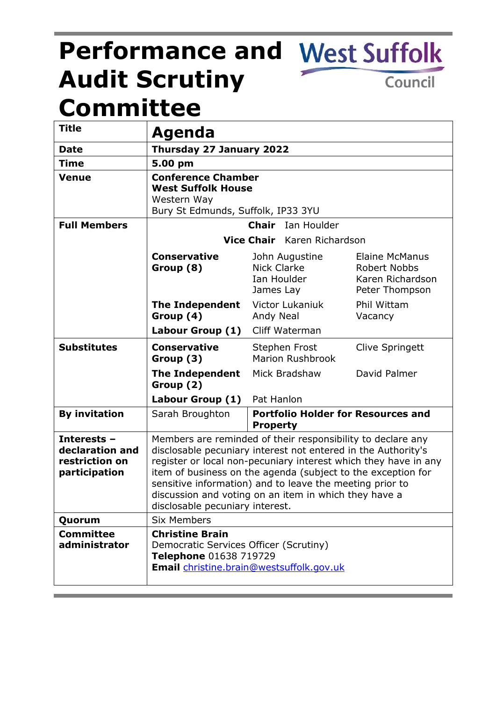# **Performance and West Suffolk Audit Scrutiny**  Council **Committee**

| <b>Title</b>                                                      | Agenda                                                                                                                                                                                                                                                                                                                                                                                                                  |                                                              |                                                                             |  |  |
|-------------------------------------------------------------------|-------------------------------------------------------------------------------------------------------------------------------------------------------------------------------------------------------------------------------------------------------------------------------------------------------------------------------------------------------------------------------------------------------------------------|--------------------------------------------------------------|-----------------------------------------------------------------------------|--|--|
| <b>Date</b>                                                       | Thursday 27 January 2022                                                                                                                                                                                                                                                                                                                                                                                                |                                                              |                                                                             |  |  |
| <b>Time</b>                                                       | 5.00 pm                                                                                                                                                                                                                                                                                                                                                                                                                 |                                                              |                                                                             |  |  |
| <b>Venue</b>                                                      | <b>Conference Chamber</b><br><b>West Suffolk House</b><br>Western Way<br>Bury St Edmunds, Suffolk, IP33 3YU                                                                                                                                                                                                                                                                                                             |                                                              |                                                                             |  |  |
| <b>Full Members</b>                                               | <b>Chair</b> Ian Houlder                                                                                                                                                                                                                                                                                                                                                                                                |                                                              |                                                                             |  |  |
|                                                                   | Vice Chair Karen Richardson                                                                                                                                                                                                                                                                                                                                                                                             |                                                              |                                                                             |  |  |
|                                                                   | <b>Conservative</b><br>Group (8)                                                                                                                                                                                                                                                                                                                                                                                        | John Augustine<br>Nick Clarke<br>Ian Houlder<br>James Lay    | Elaine McManus<br><b>Robert Nobbs</b><br>Karen Richardson<br>Peter Thompson |  |  |
|                                                                   | <b>The Independent</b><br>Group (4)                                                                                                                                                                                                                                                                                                                                                                                     | Victor Lukaniuk<br>Andy Neal                                 | Phil Wittam<br>Vacancy                                                      |  |  |
|                                                                   | Labour Group (1)                                                                                                                                                                                                                                                                                                                                                                                                        | Cliff Waterman                                               |                                                                             |  |  |
| <b>Substitutes</b>                                                | <b>Conservative</b><br>Group (3)                                                                                                                                                                                                                                                                                                                                                                                        | Stephen Frost<br><b>Marion Rushbrook</b>                     | Clive Springett                                                             |  |  |
|                                                                   | <b>The Independent</b><br>Group (2)                                                                                                                                                                                                                                                                                                                                                                                     | Mick Bradshaw                                                | David Palmer                                                                |  |  |
|                                                                   | Labour Group (1) Pat Hanlon                                                                                                                                                                                                                                                                                                                                                                                             |                                                              |                                                                             |  |  |
| <b>By invitation</b>                                              | Sarah Broughton                                                                                                                                                                                                                                                                                                                                                                                                         | <b>Portfolio Holder for Resources and</b><br><b>Property</b> |                                                                             |  |  |
| Interests -<br>declaration and<br>restriction on<br>participation | Members are reminded of their responsibility to declare any<br>disclosable pecuniary interest not entered in the Authority's<br>register or local non-pecuniary interest which they have in any<br>item of business on the agenda (subject to the exception for<br>sensitive information) and to leave the meeting prior to<br>discussion and voting on an item in which they have a<br>disclosable pecuniary interest. |                                                              |                                                                             |  |  |
| Quorum                                                            | <b>Six Members</b>                                                                                                                                                                                                                                                                                                                                                                                                      |                                                              |                                                                             |  |  |
| <b>Committee</b><br>administrator                                 | <b>Christine Brain</b><br>Democratic Services Officer (Scrutiny)<br>Telephone 01638 719729<br><b>Email</b> christine.brain@westsuffolk.gov.uk                                                                                                                                                                                                                                                                           |                                                              |                                                                             |  |  |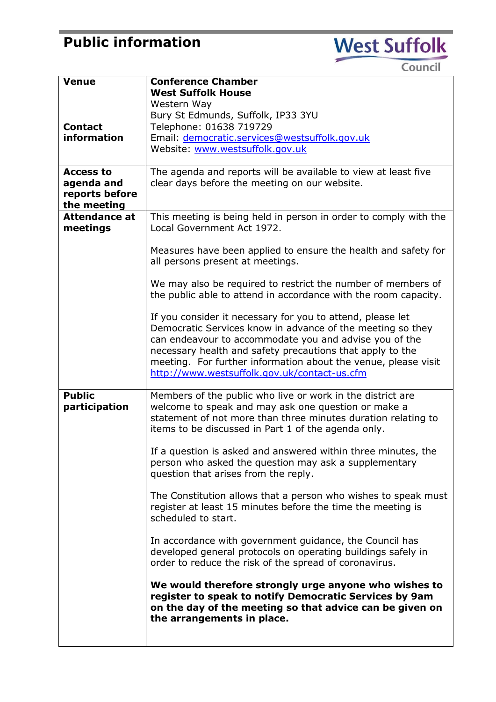## **Public information**



Council

| Venue                               | <b>Conference Chamber</b>                                                                                                                                                                                                                                                                                                                                                                                                                                                                                   |  |  |
|-------------------------------------|-------------------------------------------------------------------------------------------------------------------------------------------------------------------------------------------------------------------------------------------------------------------------------------------------------------------------------------------------------------------------------------------------------------------------------------------------------------------------------------------------------------|--|--|
|                                     | <b>West Suffolk House</b>                                                                                                                                                                                                                                                                                                                                                                                                                                                                                   |  |  |
|                                     | Western Way                                                                                                                                                                                                                                                                                                                                                                                                                                                                                                 |  |  |
|                                     | Bury St Edmunds, Suffolk, IP33 3YU                                                                                                                                                                                                                                                                                                                                                                                                                                                                          |  |  |
| <b>Contact</b>                      | Telephone: 01638 719729                                                                                                                                                                                                                                                                                                                                                                                                                                                                                     |  |  |
| information                         | Email: democratic.services@westsuffolk.gov.uk                                                                                                                                                                                                                                                                                                                                                                                                                                                               |  |  |
|                                     | Website: www.westsuffolk.gov.uk                                                                                                                                                                                                                                                                                                                                                                                                                                                                             |  |  |
|                                     |                                                                                                                                                                                                                                                                                                                                                                                                                                                                                                             |  |  |
| <b>Access to</b>                    | The agenda and reports will be available to view at least five                                                                                                                                                                                                                                                                                                                                                                                                                                              |  |  |
| agenda and                          | clear days before the meeting on our website.                                                                                                                                                                                                                                                                                                                                                                                                                                                               |  |  |
| reports before                      |                                                                                                                                                                                                                                                                                                                                                                                                                                                                                                             |  |  |
| the meeting<br><b>Attendance at</b> |                                                                                                                                                                                                                                                                                                                                                                                                                                                                                                             |  |  |
| meetings                            | This meeting is being held in person in order to comply with the<br>Local Government Act 1972.                                                                                                                                                                                                                                                                                                                                                                                                              |  |  |
|                                     |                                                                                                                                                                                                                                                                                                                                                                                                                                                                                                             |  |  |
|                                     | Measures have been applied to ensure the health and safety for<br>all persons present at meetings.                                                                                                                                                                                                                                                                                                                                                                                                          |  |  |
|                                     | We may also be required to restrict the number of members of<br>the public able to attend in accordance with the room capacity.                                                                                                                                                                                                                                                                                                                                                                             |  |  |
|                                     |                                                                                                                                                                                                                                                                                                                                                                                                                                                                                                             |  |  |
|                                     | If you consider it necessary for you to attend, please let<br>Democratic Services know in advance of the meeting so they<br>can endeavour to accommodate you and advise you of the<br>necessary health and safety precautions that apply to the<br>meeting. For further information about the venue, please visit<br>http://www.westsuffolk.gov.uk/contact-us.cfm                                                                                                                                           |  |  |
| <b>Public</b><br>participation      | Members of the public who live or work in the district are<br>welcome to speak and may ask one question or make a<br>statement of not more than three minutes duration relating to<br>items to be discussed in Part 1 of the agenda only.                                                                                                                                                                                                                                                                   |  |  |
|                                     | If a question is asked and answered within three minutes, the<br>person who asked the question may ask a supplementary<br>question that arises from the reply.<br>The Constitution allows that a person who wishes to speak must<br>register at least 15 minutes before the time the meeting is<br>scheduled to start.<br>In accordance with government guidance, the Council has<br>developed general protocols on operating buildings safely in<br>order to reduce the risk of the spread of coronavirus. |  |  |
|                                     |                                                                                                                                                                                                                                                                                                                                                                                                                                                                                                             |  |  |
|                                     |                                                                                                                                                                                                                                                                                                                                                                                                                                                                                                             |  |  |
|                                     | We would therefore strongly urge anyone who wishes to<br>register to speak to notify Democratic Services by 9am<br>on the day of the meeting so that advice can be given on<br>the arrangements in place.                                                                                                                                                                                                                                                                                                   |  |  |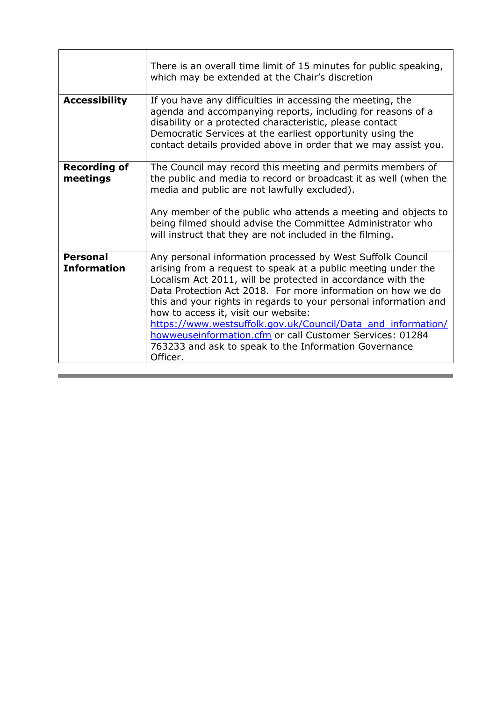|                                       | There is an overall time limit of 15 minutes for public speaking,<br>which may be extended at the Chair's discretion                                                                                                                                                                                                                                                                                                                                                                                                                                                   |  |  |
|---------------------------------------|------------------------------------------------------------------------------------------------------------------------------------------------------------------------------------------------------------------------------------------------------------------------------------------------------------------------------------------------------------------------------------------------------------------------------------------------------------------------------------------------------------------------------------------------------------------------|--|--|
| <b>Accessibility</b>                  | If you have any difficulties in accessing the meeting, the<br>agenda and accompanying reports, including for reasons of a<br>disability or a protected characteristic, please contact<br>Democratic Services at the earliest opportunity using the<br>contact details provided above in order that we may assist you.                                                                                                                                                                                                                                                  |  |  |
| <b>Recording of</b><br>meetings       | The Council may record this meeting and permits members of<br>the public and media to record or broadcast it as well (when the<br>media and public are not lawfully excluded).<br>Any member of the public who attends a meeting and objects to<br>being filmed should advise the Committee Administrator who<br>will instruct that they are not included in the filming.                                                                                                                                                                                              |  |  |
| <b>Personal</b><br><b>Information</b> | Any personal information processed by West Suffolk Council<br>arising from a request to speak at a public meeting under the<br>Localism Act 2011, will be protected in accordance with the<br>Data Protection Act 2018. For more information on how we do<br>this and your rights in regards to your personal information and<br>how to access it, visit our website:<br>https://www.westsuffolk.gov.uk/Council/Data_and_information/<br>howweuseinformation.cfm or call Customer Services: 01284<br>763233 and ask to speak to the Information Governance<br>Officer. |  |  |

,我们也不会有什么。""我们的人,我们也不会有什么?""我们的人,我们也不会有什么?""我们的人,我们也不会有什么?""我们的人,我们也不会有什么?""我们的人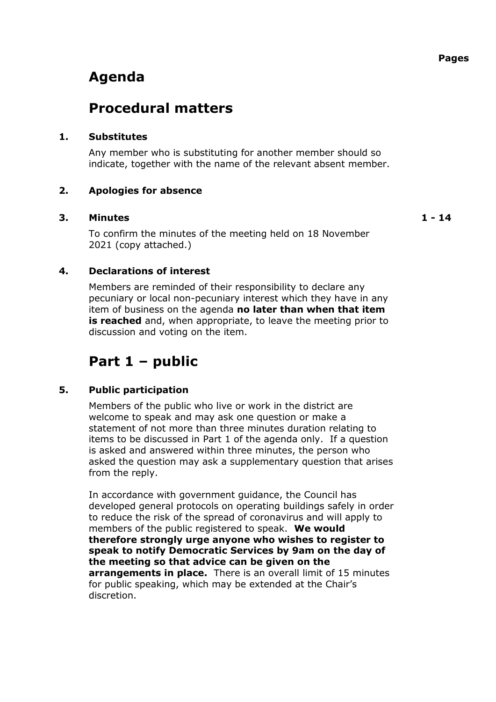## **Agenda**

### **Procedural matters**

#### **1. Substitutes**

Any member who is substituting for another member should so indicate, together with the name of the relevant absent member.

#### **2. Apologies for absence**

#### **3. Minutes 1 - 14**

To confirm the minutes of the meeting held on 18 November 2021 (copy attached.)

#### **4. Declarations of interest**

Members are reminded of their responsibility to declare any pecuniary or local non-pecuniary interest which they have in any item of business on the agenda **no later than when that item is reached** and, when appropriate, to leave the meeting prior to discussion and voting on the item.

### **Part 1 – public**

#### **5. Public participation**

Members of the public who live or work in the district are welcome to speak and may ask one question or make a statement of not more than three minutes duration relating to items to be discussed in Part 1 of the agenda only. If a question is asked and answered within three minutes, the person who asked the question may ask a supplementary question that arises from the reply.

In accordance with government guidance, the Council has developed general protocols on operating buildings safely in order to reduce the risk of the spread of coronavirus and will apply to members of the public registered to speak. **We would therefore strongly urge anyone who wishes to register to speak to notify Democratic Services by 9am on the day of the meeting so that advice can be given on the arrangements in place.** There is an overall limit of 15 minutes for public speaking, which may be extended at the Chair's discretion.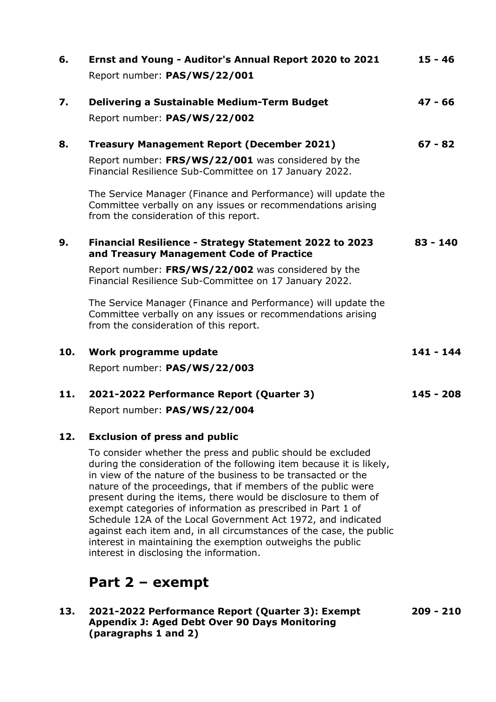| 6.  | Ernst and Young - Auditor's Annual Report 2020 to 2021<br>Report number: PAS/WS/22/001                                                                                                                                                                                                                                                                                                       | $15 - 46$   |
|-----|----------------------------------------------------------------------------------------------------------------------------------------------------------------------------------------------------------------------------------------------------------------------------------------------------------------------------------------------------------------------------------------------|-------------|
| 7.  | <b>Delivering a Sustainable Medium-Term Budget</b><br>Report number: PAS/WS/22/002                                                                                                                                                                                                                                                                                                           | $47 - 66$   |
| 8.  | <b>Treasury Management Report (December 2021)</b><br>Report number: FRS/WS/22/001 was considered by the<br>Financial Resilience Sub-Committee on 17 January 2022.<br>The Service Manager (Finance and Performance) will update the<br>Committee verbally on any issues or recommendations arising<br>from the consideration of this report.                                                  | $67 - 82$   |
| 9.  | Financial Resilience - Strategy Statement 2022 to 2023<br>and Treasury Management Code of Practice<br>Report number: FRS/WS/22/002 was considered by the<br>Financial Resilience Sub-Committee on 17 January 2022.<br>The Service Manager (Finance and Performance) will update the<br>Committee verbally on any issues or recommendations arising<br>from the consideration of this report. | $83 - 140$  |
| 10. | Work programme update<br>Report number: PAS/WS/22/003                                                                                                                                                                                                                                                                                                                                        | $141 - 144$ |
| 11. | 2021-2022 Performance Report (Quarter 3)<br>Report number: PAS/WS/22/004                                                                                                                                                                                                                                                                                                                     | $145 - 208$ |
| 12. | <b>Exclusion of press and public</b><br>To consider whether the press and public should be excluded<br>denotes a filmer of a constitution of the set of a line of a line of the constitution of the field of the line                                                                                                                                                                        |             |

during the consideration of the following item because it is likely, in view of the nature of the business to be transacted or the nature of the proceedings, that if members of the public were present during the items, there would be disclosure to them of exempt categories of information as prescribed in Part 1 of Schedule 12A of the Local Government Act 1972, and indicated against each item and, in all circumstances of the case, the public interest in maintaining the exemption outweighs the public interest in disclosing the information.

### **Part 2 – exempt**

#### **13. 2021-2022 Performance Report (Quarter 3): Exempt Appendix J: Aged Debt Over 90 Days Monitoring (paragraphs 1 and 2)**

**209 - 210**